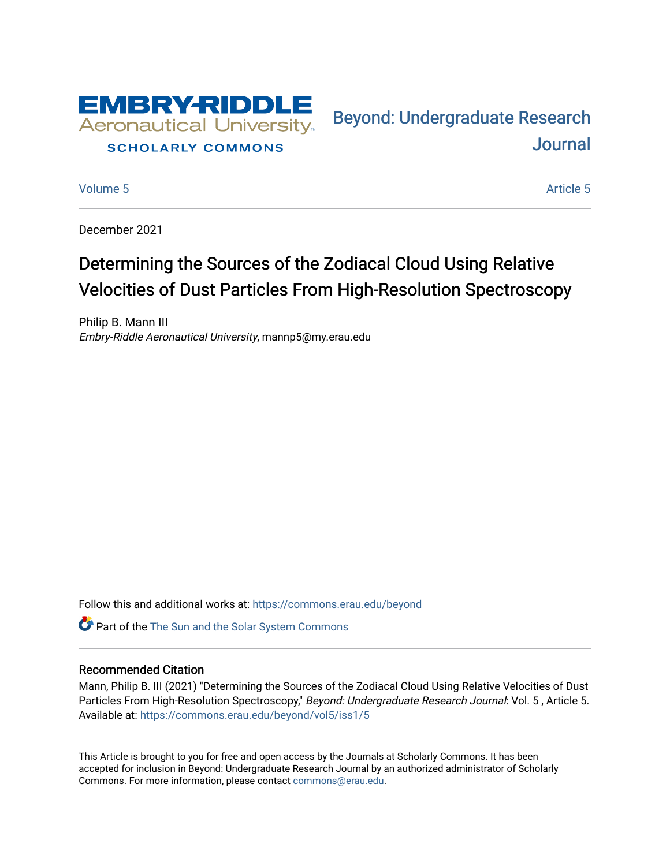

### **SCHOLARLY COMMONS**

[Volume 5](https://commons.erau.edu/beyond/vol5) Article 5

Bey[ond: Undergraduate Resear](https://commons.erau.edu/beyond)ch [Journal](https://commons.erau.edu/beyond) 

December 2021

## Determining the Sources of the Zodiacal Cloud Using Relative Velocities of Dust Particles From High-Resolution Spectroscopy

Philip B. Mann III Embry-Riddle Aeronautical University, mannp5@my.erau.edu

Follow this and additional works at: [https://commons.erau.edu/beyond](https://commons.erau.edu/beyond?utm_source=commons.erau.edu%2Fbeyond%2Fvol5%2Fiss1%2F5&utm_medium=PDF&utm_campaign=PDFCoverPages) 

**Part of the The Sun and the Solar System Commons** 

#### Recommended Citation

Mann, Philip B. III (2021) "Determining the Sources of the Zodiacal Cloud Using Relative Velocities of Dust Particles From High-Resolution Spectroscopy," Beyond: Undergraduate Research Journal: Vol. 5, Article 5. Available at: [https://commons.erau.edu/beyond/vol5/iss1/5](https://commons.erau.edu/beyond/vol5/iss1/5?utm_source=commons.erau.edu%2Fbeyond%2Fvol5%2Fiss1%2F5&utm_medium=PDF&utm_campaign=PDFCoverPages) 

This Article is brought to you for free and open access by the Journals at Scholarly Commons. It has been accepted for inclusion in Beyond: Undergraduate Research Journal by an authorized administrator of Scholarly Commons. For more information, please contact [commons@erau.edu.](mailto:commons@erau.edu)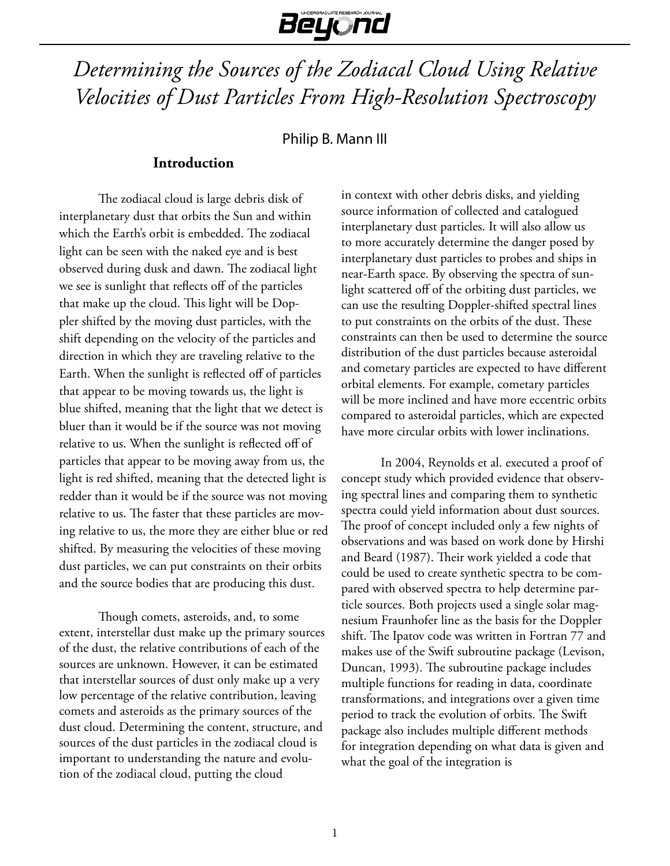# Beyond

## *Determining the Sources of the Zodiacal Cloud Using Relative Velocities of Dust Particles From High-Resolution Spectroscopy*

Philip B. Mann III

## **Introduction**

The zodiacal cloud is large debris disk of interplanetary dust that orbits the Sun and within which the Earth's orbit is embedded. The zodiacal light can be seen with the naked eye and is best observed during dusk and dawn. The zodiacal light we see is sunlight that reflects off of the particles that make up the cloud. This light will be Doppler shifted by the moving dust particles, with the shift depending on the velocity of the particles and direction in which they are traveling relative to the Earth. When the sunlight is reflected off of particles that appear to be moving towards us, the light is blue shifted, meaning that the light that we detect is bluer than it would be if the source was not moving relative to us. When the sunlight is reflected off of particles that appear to be moving away from us, the light is red shifted, meaning that the detected light is redder than it would be if the source was not moving relative to us. The faster that these particles are moving relative to us, the more they are either blue or red shifted. By measuring the velocities of these moving dust particles, we can put constraints on their orbits and the source bodies that are producing this dust.

Though comets, asteroids, and, to some extent, interstellar dust make up the primary sources of the dust, the relative contributions of each of the sources are unknown. However, it can be estimated that interstellar sources of dust only make up a very low percentage of the relative contribution, leaving comets and asteroids as the primary sources of the dust cloud. Determining the content, structure, and sources of the dust particles in the zodiacal cloud is important to understanding the nature and evolution of the zodiacal cloud, putting the cloud

in context with other debris disks, and yielding source information of collected and catalogued interplanetary dust particles. It will also allow us to more accurately determine the danger posed by interplanetary dust particles to probes and ships in near-Earth space. By observing the spectra of sunlight scattered off of the orbiting dust particles, we can use the resulting Doppler-shifted spectral lines to put constraints on the orbits of the dust. These constraints can then be used to determine the source distribution of the dust particles because asteroidal and cometary particles are expected to have different orbital elements. For example, cometary particles will be more inclined and have more eccentric orbits compared to asteroidal particles, which are expected have more circular orbits with lower inclinations.

In 2004, Reynolds et al. executed a proof of concept study which provided evidence that observing spectral lines and comparing them to synthetic spectra could yield information about dust sources. The proof of concept included only a few nights of observations and was based on work done by Hirshi and Beard (1987). Their work yielded a code that could be used to create synthetic spectra to be compared with observed spectra to help determine particle sources. Both projects used a single solar magnesium Fraunhofer line as the basis for the Doppler shift. The Ipatov code was written in Fortran 77 and makes use of the Swift subroutine package (Levison, Duncan, 1993). The subroutine package includes multiple functions for reading in data, coordinate transformations, and integrations over a given time period to track the evolution of orbits. The Swift package also includes multiple different methods for integration depending on what data is given and what the goal of the integration is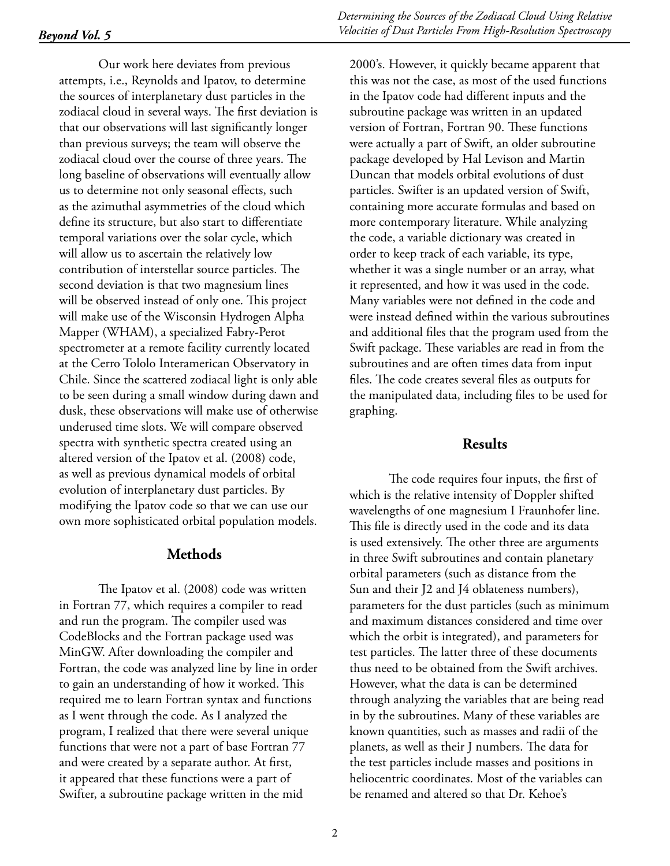Our work here deviates from previous attempts, i.e., Reynolds and Ipatov, to determine the sources of interplanetary dust particles in the zodiacal cloud in several ways. The first deviation is that our observations will last significantly longer than previous surveys; the team will observe the zodiacal cloud over the course of three years. The long baseline of observations will eventually allow us to determine not only seasonal effects, such as the azimuthal asymmetries of the cloud which define its structure, but also start to differentiate temporal variations over the solar cycle, which will allow us to ascertain the relatively low contribution of interstellar source particles. The second deviation is that two magnesium lines will be observed instead of only one. This project will make use of the Wisconsin Hydrogen Alpha Mapper (WHAM), a specialized Fabry-Perot spectrometer at a remote facility currently located at the Cerro Tololo Interamerican Observatory in Chile. Since the scattered zodiacal light is only able to be seen during a small window during dawn and dusk, these observations will make use of otherwise underused time slots. We will compare observed spectra with synthetic spectra created using an altered version of the Ipatov et al. (2008) code, as well as previous dynamical models of orbital evolution of interplanetary dust particles. By modifying the Ipatov code so that we can use our own more sophisticated orbital population models.

#### **Methods**

The Ipatov et al. (2008) code was written in Fortran 77, which requires a compiler to read and run the program. The compiler used was CodeBlocks and the Fortran package used was MinGW. After downloading the compiler and Fortran, the code was analyzed line by line in order to gain an understanding of how it worked. This required me to learn Fortran syntax and functions as I went through the code. As I analyzed the program, I realized that there were several unique functions that were not a part of base Fortran 77 and were created by a separate author. At first, it appeared that these functions were a part of Swifter, a subroutine package written in the mid

2000's. However, it quickly became apparent that this was not the case, as most of the used functions in the Ipatov code had different inputs and the subroutine package was written in an updated version of Fortran, Fortran 90. These functions were actually a part of Swift, an older subroutine package developed by Hal Levison and Martin Duncan that models orbital evolutions of dust particles. Swifter is an updated version of Swift, containing more accurate formulas and based on more contemporary literature. While analyzing the code, a variable dictionary was created in order to keep track of each variable, its type, whether it was a single number or an array, what it represented, and how it was used in the code. Many variables were not defined in the code and were instead defined within the various subroutines and additional files that the program used from the Swift package. These variables are read in from the subroutines and are often times data from input files. The code creates several files as outputs for the manipulated data, including files to be used for graphing.

## **Results**

The code requires four inputs, the first of which is the relative intensity of Doppler shifted wavelengths of one magnesium I Fraunhofer line. This file is directly used in the code and its data is used extensively. The other three are arguments in three Swift subroutines and contain planetary orbital parameters (such as distance from the Sun and their J2 and J4 oblateness numbers), parameters for the dust particles (such as minimum and maximum distances considered and time over which the orbit is integrated), and parameters for test particles. The latter three of these documents thus need to be obtained from the Swift archives. However, what the data is can be determined through analyzing the variables that are being read in by the subroutines. Many of these variables are known quantities, such as masses and radii of the planets, as well as their J numbers. The data for the test particles include masses and positions in heliocentric coordinates. Most of the variables can be renamed and altered so that Dr. Kehoe's